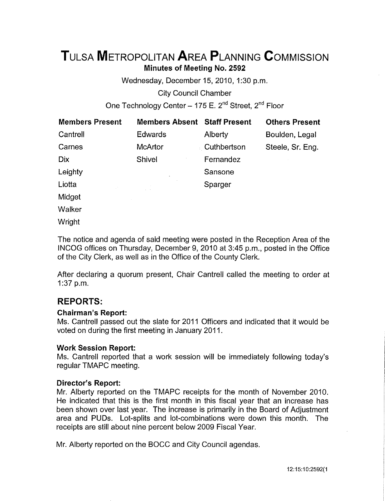# **TuLsA METROPOLITAN AREA PLANNING CoMMISSION Minutes of Meeting No. 2592**

Wednesday, December 15,2010, 1:30 p.m.

City Council Chamber

One Technology Center - 175 E.  $2^{nd}$  Street,  $2^{nd}$  Floor

| <b>Members Present</b> | <b>Members Absent Staff Present</b> |             | <b>Others Present</b> |
|------------------------|-------------------------------------|-------------|-----------------------|
| Cantrell               | <b>Edwards</b>                      | Alberty     | Boulden, Legal        |
| Carnes                 | <b>McArtor</b>                      | Cuthbertson | Steele, Sr. Eng.      |
| <b>Dix</b>             | Shivel                              | Fernandez   |                       |
| Leighty                |                                     | Sansone     |                       |
| Liotta                 |                                     | Sparger     |                       |
| Midget                 |                                     |             |                       |
| Walker                 |                                     |             |                       |
| Wright                 |                                     |             |                       |

The notice and agenda of said meeting were posted in the Reception Area of the INCOG offices on Thursday, December 9, 2010 at 3:45 p.m., posted in the Office of the City Clerk, as well as in the Office of the County Clerk.

After declaring a quorum present, Chair Cantrell called the meeting to order at 1:37 p.m.

## **REPORTS:**

#### **Chairman's Report:**

Ms. Cantrell passed out the slate for 2011 Officers and indicated that it would be voted on during the first meeting in January 2011.

#### **Work Session Report:**

Ms. Cantrell reported that a work session will be immediately following today's regular TMAPC meeting.

#### **Director's Report:**

Mr. Alberty reported on the TMAPC receipts for the month of November 2010. He indicated that this is the first month in this fiscal year that an increase has been shown over last year. The increase is primarily in the Board of Adjustment area and PUDs. Lot-splits and lot-combinations were down this month. The receipts are still about nine percent below 2009 Fiscal Year.

Mr. Alberty reported on the BOCC and City Council agendas.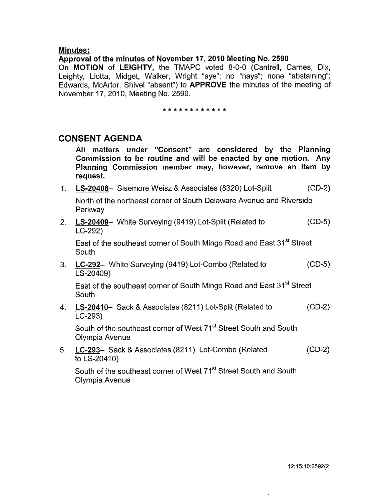#### **Minutes:**

#### **Approval of the minutes of November 17, 2010 Meeting No. 2590**

On **MOTION of LEIGHTY,** the TMAPC voted 8-0-0 (Cantrell, Carnes, Dix, Leighty, Liotta, Midget, Walker, Wright "aye"; no "nays"; none "abstaining"; Edwards, McArtor, Shive! "absent") to **APPROVE** the minutes of the meeting of November 17, 2010, Meeting No. 2590.

#### \* \* \* \* \* \* \* \* \* \* \* \*

## **CONSENT AGENDA**

**All matters under "Consent" are considered by the Planning Commission to be routine and will be enacted by one motion. Any Planning Commission member may, however, remove an item by request.** 

**1. LS-20408-** Sisemore Weisz & Associates (8320) Lot-Split (CD-2)

North of the northeast corner of South Delaware Avenue and Riverside Parkway

2. **LS-20409-** White Surveying (9419) Lot-Split (Related to (CD-5) LC-292)

East of the southeast corner of South Mingo Road and East 31<sup>st</sup> Street South

3. **LC-292-** White Surveying (9419) Lot-Combo (Related to (CD-5) LS-20409)

East of the southeast corner of South Mingo Road and East 31<sup>st</sup> Street **South** 

4. **LS-20410-** Sack & Associates (8211) Lot-Split (Related to (CD-2) LC-293)

South of the southeast corner of West 71<sup>st</sup> Street South and South Olympia Avenue

5. **LC-293-** Sack & Associates (8211) Lot-Combo (Related (CD-2) to LS-20410)

South of the southeast corner of West 71<sup>st</sup> Street South and South Olympia Avenue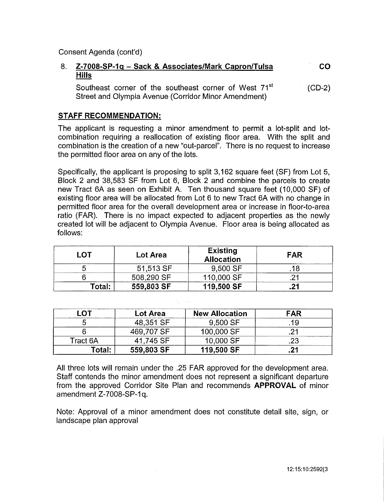Consent Agenda (cont'd)

#### 8. **Z-7008-SP-1g- Sack & Associates/Mark Capron/Tulsa Hills co**

Southeast corner of the southeast corner of West 71<sup>st</sup> Street and Olympia Avenue (Corridor Minor Amendment) (CD-2)

#### **STAFF RECOMMENDATION:**

The applicant is requesting a minor amendment to permit a lot-split and lotcombination requiring a reallocation of existing floor area. With the split and combination is the creation of a new "out-parcel". There is no request to increase the permitted floor area on any of the lots.

Specifically, the applicant is proposing to split 3,162 square feet (SF) from Lot 5, Block 2 and 38,583 SF from Lot 6, Block 2 and combine the parcels to create new Tract 6A as seen on Exhibit A. Ten thousand square feet (10,000 SF) of existing floor area will be allocated from Lot 6 to new Tract 6A with no change in permitted floor area for the overall development area or increase in floor-to-area ratio (FAR). There is no impact expected to adjacent properties as the newly created lot will be adjacent to Olympia Avenue. Floor area is being allocated as follows:

|                    | Lot Area   | Existing<br><b>Allocation</b> | FAR |
|--------------------|------------|-------------------------------|-----|
|                    | 51,513 SF  | 9,500 SF                      |     |
|                    | 508,290 SF | 110,000 SF                    |     |
| fotal <sup>-</sup> | 559,803 SF | 119,500 SF                    |     |

|          | Lot Area   | <b>New Allocation</b> | FAR |
|----------|------------|-----------------------|-----|
|          | 48,351 SF  | 9.500 SE              |     |
|          | 469,707 SF | 100,000 SF            |     |
| Tract 6A | 41.745 SF  | 10,000 SF             |     |
| Гоtаl:   | 559,803 SF | 119,500 SF            |     |

All three lots will remain under the .25 FAR approved for the development area. Staff contends the minor amendment does not represent a significant departure from the approved Corridor Site Plan and recommends **APPROVAL** of minor amendment Z-7008-SP-1q.

Note: Approval of a minor amendment does not constitute detail site, sign, or landscape plan approval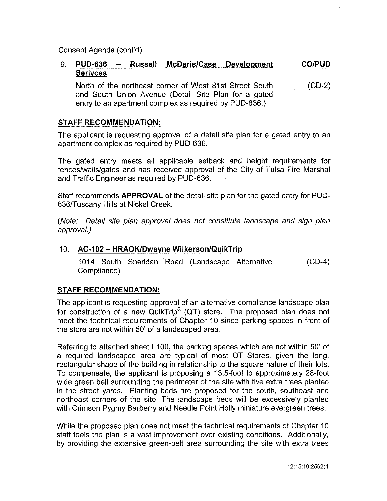Consent Agenda (cont'd)

#### 9. **PUD-636 Russell McDaris/Case Development Serivces CO/PUD**

North of the northeast corner of West 81st Street South and South Union Avenue (Detail Site Plan for a gated entry to an apartment complex as required by PUD-636.)  $(CD-2)$ 

#### **STAFF RECOMMENDATION:**

The applicant is requesting approval of a detail site plan for a gated entry to an apartment complex as required by PUD-636.

The gated entry meets all applicable setback and height requirements for fences/walls/gates and has received approval of the City of Tulsa Fire Marshal and Traffic Engineer as required by PUD-636.

Staff recommends **APPROVAL** of the detail site plan for the gated entry for PUD-636/Tuscany Hills at Nickel Creek.

(Note: Detail site plan approval does not constitute landscape and sign plan approval.)

#### 10. **AC-102- HRAOK/Dwayne Wilkerson/QuikTrip**

1014 South Sheridan Road (Landscape Alternative Compliance) (CD-4)

### **STAFF RECOMMENDATION:**

The applicant is requesting approval of an alternative compliance landscape plan for construction of a new QuikTrip® (QT) store. The proposed plan does not meet the technical requirements of Chapter 10 since parking spaces in front of the store are not within 50' of a landscaped area.

Referring to attached sheet L100, the parking spaces which are not within 50' of a required landscaped area are typical of most QT Stores, given the long, rectangular shape of the building in relationship to the square nature of their lots. To compensate, the applicant is proposing a 13.5-foot to approximately 28-foot wide green belt surrounding the perimeter of the site with five extra trees planted in the street yards. Planting beds are proposed for the south, southeast and northeast corners of the site. The landscape beds will be excessively planted with Crimson Pygmy Barberry and Needle Point Holly miniature evergreen trees.

While the proposed plan does not meet the technical requirements of Chapter 10 staff feels the plan is a vast improvement over existing conditions. Additionally, by providing the extensive green-belt area surrounding the site with extra trees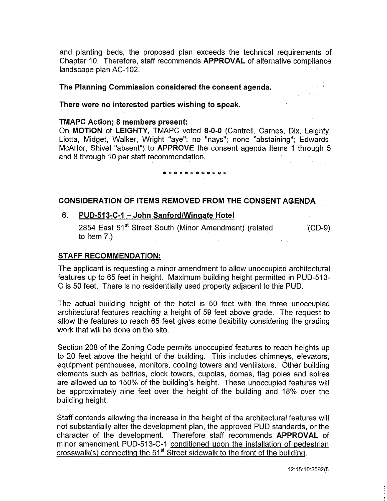and planting beds, the proposed plan exceeds the technical requirements of Chapter 10. Therefore, staff recommends **APPROVAL** of alternative compliance landscape plan AC-102.

**The Planning Commission considered the consent agenda.** 

**There were no interested parties wishing to speak.** 

#### **TMAPC Action; 8 members present:**

On **MOTION of LEIGHTY,** TMAPC voted **8-0-0** (Cantrell, Carnes, Dix, Leighty, Liotta, Midget, Walker, Wright "aye"; no "nays"; none "abstaining"; Edwards, McArtor, Shivel "absent") to **APPROVE** the consent agenda Items 1 through 5 and 8 through 10 per staff recommendation.  $\frac{1}{2}$  ,  $\frac{1}{2}$  ,  $\frac{1}{2}$  ,  $\frac{1}{2}$  ,  $\frac{1}{2}$  ,  $\frac{1}{2}$ 

# \* \* \* \* \* \* \* \* \* \* \* \*

#### **CONSIDERATION OF ITEMS REMOVED FROM THE CONSENT AGENDA**

#### 6. **PUD-513-C-1 – John Sanford/Wingate Hotel**

2854 East 51<sup>st</sup> Street South (Minor Amendment) (related to Item 7.) (CD-9)

#### **STAFF RECOMMENDATION:**

The applicant is requesting a minor amendment to allow unoccupied architectural features up to 65 feet in height. Maximum building height permitted in PUD-513- C is 50 feet. There is no residentially used property adjacent to this PUD.

The actual building height of the hotel is 50 feet with the three unoccupied architectural features reaching a height of 59 feet above grade. The request to allow the features to reach 65 feet gives some flexibility considering the grading work that will be done on the site.

Section 208 of the Zoning Code permits unoccupied features to reach heights up to 20 feet above the height of the building. This includes chimneys, elevators, equipment penthouses, monitors, cooling towers and ventilators. Other building elements such as belfries, clock towers, cupolas, domes, flag poles and spires are allowed up to 150% of the building's height. These unoccupied features will be approximately nine feet over the height of the building and 18% over the building height.

Staff contends allowing the increase in the height of the architectural features will not substantially alter the development plan, the approved PUD standards, or the character of the development. Therefore staff recommends **APPROVAL** of minor amendment PUD-513-C-1 conditioned upon the installation of pedestrian crosswalk(s) connecting the 51<sup>st</sup> Street sidewalk to the front of the building.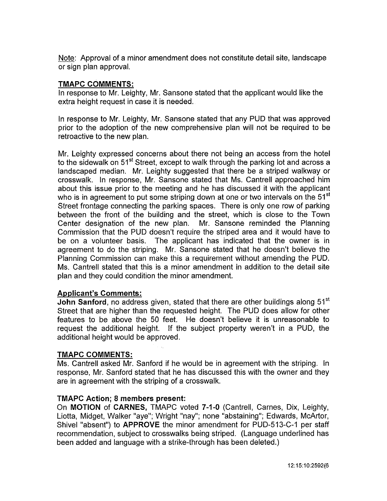Note: Approval of a minor amendment does not constitute detail site, landscape or sign plan approval.

#### **TMAPC COMMENTS:**

In response to Mr. Leighty, Mr. Sansone stated that the applicant would like the extra height request in case it is needed.

In response to Mr. Leighty, Mr. Sansone stated that any PUD that was approved prior to the adoption of the new comprehensive plan will not be required to be retroactive to the new plan.

Mr. Leighty expressed concerns about there not being an access from the hotel to the sidewalk on 51<sup>st</sup> Street, except to walk through the parking lot and across a landscaped median. Mr. Leighty suggested that there be a striped walkway or crosswalk. In response, Mr. Sansone stated that Ms. Cantrell approached him about this issue prior to the meeting and he has discussed it with the applicant who is in agreement to put some striping down at one or two intervals on the 51<sup>st</sup> Street frontage connecting the parking spaces. There is only one row of parking between the front of the building and the street, which is close to the Town Center designation of the new plan. Mr. Sansone reminded the Planning Commission that the PUD doesn't require the striped area and it would have to be on a volunteer basis. The applicant has indicated that the owner is in agreement to do the striping. Mr. Sansone stated that he doesn't believe the Planning Commission can make this a requirement without amending the PUD. Ms. Cantrell stated that this is a minor amendment in addition to the detail site plan and they could condition the minor amendment.

#### **Applicant's Comments:**

**John Sanford, no address given, stated that there are other buildings along 51<sup>st</sup>** Street that are higher than the requested height. The PUD does allow for other features to be above the 50 feet. He doesn't believe it is unreasonable to request the additional height. If the subject property weren't in a PUD, the additional height would be approved.

#### **TMAPC COMMENTS:**

Ms. Cantrell asked Mr. Sanford if he would be in agreement with the striping. In response, Mr. Sanford stated that he has discussed this with the owner and they are in agreement with the striping of a crosswalk.

#### **TMAPC Action; 8 members present:**

On **MOTION of CARNES,** TMAPC voted **7-1-0** (Cantrell, Carnes, Dix, Leighty, Liotta, Midget, Walker "aye"; Wright "nay"; none "abstaining"; Edwards, McArtor, Shivel "absent") to **APPROVE** the minor amendment for PUD-513-C-1 per staff recommendation, subject to crosswalks being striped. (Language underlined has been added and language with a strike-through has been deleted.)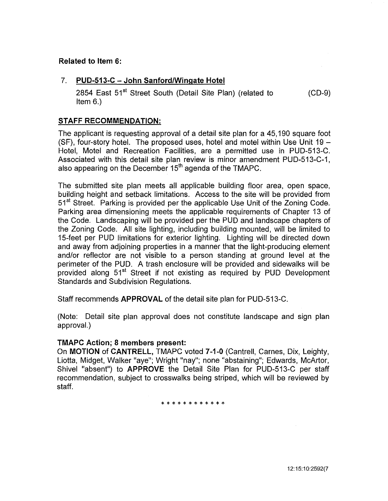### **Related to Item 6:**

#### 7. **PUD-513-C- John Sanford/Wingate Hotel**

2854 East 51<sup>st</sup> Street South (Detail Site Plan) (related to Item 6.) (CD-9)

#### **STAFF RECOMMENDATION:**

The applicant is requesting approval of a detail site plan for a 45,190 square foot (SF), four-story hotel. The proposed uses, hotel and motel within Use Unit  $19 -$ Hotel, Motel and Recreation Facilities, are a permitted use in PUD-513-C. Associated with this detail site plan review is minor amendment PUD-513-C-1, also appearing on the December 15<sup>th</sup> agenda of the TMAPC.

The submitted site plan meets all applicable building floor area, open space, building height and setback limitations. Access to the site will be provided from 51<sup>st</sup> Street. Parking is provided per the applicable Use Unit of the Zoning Code. Parking area dimensioning meets the applicable requirements of Chapter 13 of the Code. Landscaping will be provided per the PUD and landscape chapters of the Zoning Code. All site lighting, including building mounted, will be limited to 15-feet per PUD limitations for exterior lighting. Lighting will be directed down and away from adjoining properties in a manner that the light-producing element and/or reflector are not visible to a person standing at ground level at the perimeter of the PUD. A trash enclosure will be provided and sidewalks will be provided along 51<sup>st</sup> Street if not existing as required by PUD Development Standards and Subdivision Regulations.

Staff recommends **APPROVAL** of the detail site plan for PUD-513-C.

(Note: Detail site plan approval does not constitute landscape and sign plan approval.)

#### **TMAPC Action; 8 members present:**

On **MOTION of CANTRELL,** TMAPC voted **7-1-0** (Cantrell, Carnes, Dix, Leighty, Liotta, Midget, Walker "aye"; Wright "nay"; none "abstaining"; Edwards, McArtor, Shive! "absent") to **APPROVE** the Detail Site Plan for PUD-513-C per staff recommendation, subject to crosswalks being striped, which will be reviewed by staff.

\* \* \* \* \* \* \* \* \* \* \*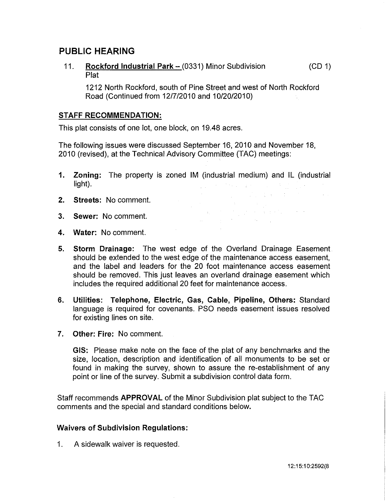## **PUBLIC HEARING**

11. **Rockford Industrial Park – (0331) Minor Subdivision** Plat (CD 1)

1212 North Rockford, south of Pine Street and west of North Rockford Road (Continued from 12/7/2010 and 10/20/2010)

#### **STAFF RECOMMENDATION:**

This plat consists of one lot, one block, on 19.48 acres.

The following issues were discussed September 16, 2010 and November 18, 2010 (revised), at the Technical Advisory Committee (TAC) meetings:

**1. Zoning:** The property is zoned IM (industrial medium) and IL (industrial  $\label{eq:1} \frac{1}{\sqrt{2\pi}}\int_{0}^{\infty}\frac{1}{\sqrt{2\pi}}\left(\frac{1}{\sqrt{2\pi}}\right)^{2}e^{-\frac{1}{2}\left(\frac{1}{\sqrt{2\pi}}\right)}\frac{1}{\sqrt{2\pi}}\frac{1}{\sqrt{2\pi}}\frac{1}{\sqrt{2\pi}}\frac{1}{\sqrt{2\pi}}\frac{1}{\sqrt{2\pi}}\frac{1}{\sqrt{2\pi}}\frac{1}{\sqrt{2\pi}}\frac{1}{\sqrt{2\pi}}\frac{1}{\sqrt{2\pi}}\frac{1}{\sqrt{2\pi}}\frac{1}{\sqrt{2\pi}}\frac{$ light).

> $\label{eq:3.1} \mathcal{L}(\mathbf{q}_1) = \mathcal{L}(\mathbf{q}_1) + \mathcal{L}(\mathbf{q}_2) + \mathcal{L}(\mathbf{q}_1) + \mathcal{L}(\mathbf{q}_2) + \mathcal{L}(\mathbf{q}_1)$  $\mathcal{L}^{\text{max}}_{\text{max}}$  and  $\mathcal{L}^{\text{max}}_{\text{max}}$

- **2. Streets:** No comment.
- **3. Sewer:** No comment.
- **4. Water:** No comment.
- **5. Storm Drainage:** The west edge of the Overland Drainage Easement should be extended to the west edge of the maintenance access easement, and the label and leaders for the 20 foot maintenance access easement should be removed. This just leaves an overland drainage easement which includes the required additional 20 feet for maintenance access.
- **6. Utilities: Telephone, Electric, Gas, Cable, Pipeline, Others:** Standard language is required for covenants. PSO needs easement issues resolved for existing lines on site.
- **7. Other: Fire:** No comment.

**GIS:** Please make note on the face of the plat of any benchmarks and the size, location, description and identification of all monuments to be set or found in making the survey, shown to assure the re-establishment of any point or line of the survey. Submit a subdivision control data form.

Staff recommends **APPROVAL** of the Minor Subdivision plat subject to the TAC comments and the special and standard conditions below.

#### **Waivers of Subdivision Regulations:**

1. A sidewalk waiver is requested.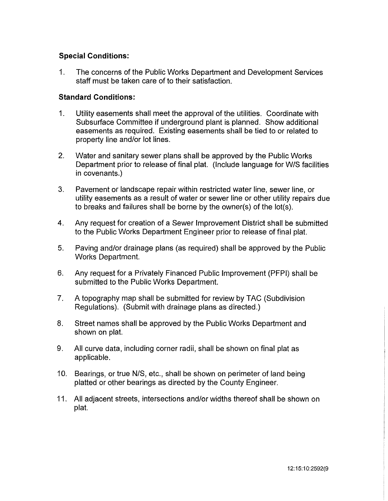### **Special Conditions:**

1. The concerns of the Public Works Department and Development Services staff must be taken care of to their satisfaction.

#### **Standard Conditions:**

- 1. Utility easements shall meet the approval of the utilities. Coordinate with Subsurface Committee if underground plant is planned. Show additional easements as required. Existing easements shall be tied to or related to property line and/or lot lines.
- 2. Water and sanitary sewer plans shall be approved by the Public Works Department prior to release of final plat. (Include language for W/S facilities in covenants.)
- 3. Pavement or landscape repair within restricted water line, sewer line, or utility easements as a result of water or sewer line or other utility repairs due to breaks and failures shall be borne by the owner(s) of the lot(s).
- 4. Any request for creation of a Sewer Improvement District shall be submitted to the Public Works Department Engineer prior to release of final plat.
- 5. Paving and/or drainage plans (as required) shall be approved by the Public Works Department.
- 6. Any request for a Privately Financed Public Improvement (PFPI) shall be submitted to the Public Works Department.
- 7. A topography map shall be submitted for review by TAC (Subdivision Regulations). (Submit with drainage plans as directed.)
- 8. Street names shall be approved by the Public Works Department and shown on plat.
- 9. All curve data, including corner radii, shall be shown on final plat as applicable.
- 10. Bearings, or true N/S, etc., shall be shown on perimeter of land being platted or other bearings as directed by the County Engineer.
- 11. All adjacent streets, intersections and/or widths thereof shall be shown on plat.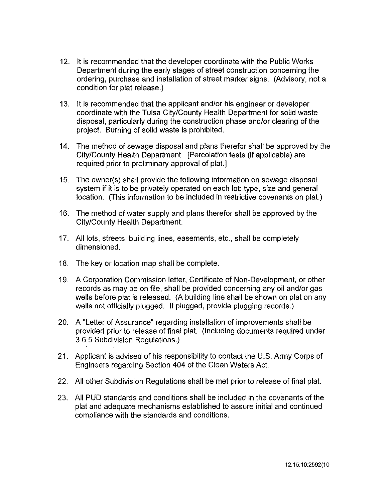- 12. It is recommended that the developer coordinate with the Public Works Department during the early stages of street construction concerning the ordering, purchase and installation of street marker signs. (Advisory, not a condition for plat release.)
- 13. It is recommended that the applicant and/or his engineer or developer coordinate with the Tulsa City/County Health Department for solid waste disposal, particularly during the construction phase and/or clearing of the project. Burning of solid waste is prohibited.
- 14. The method of sewage disposal and plans therefor shall be approved by the City/County Health Department. [Percolation tests (if applicable) are required prior to preliminary approval of plat.]
- 15. The owner(s) shall provide the following information on sewage disposal system if it is to be privately operated on each lot: type, size and general location. (This information to be included in restrictive covenants on plat.)
- 16. The method of water supply and plans therefor shall be approved by the City/County Health Department.
- 17. All lots, streets, building lines, easements, etc., shall be completely dimensioned.
- 18. The key or location map shall be complete.
- 19. A Corporation Commission letter, Certificate of Non-Development, or other records as may be on file, shall be provided concerning any oil and/or gas wells before plat is released. (A building line shall be shown on plat on any wells not officially plugged. If plugged, provide plugging records.)
- 20. A "Letter of Assurance" regarding installation of improvements shall be provided prior to release of final plat. (Including documents required under 3.6.5 Subdivision Regulations.)
- 21. Applicant is advised of his responsibility to contact the U.S. Army Corps of Engineers regarding Section 404 of the Clean Waters Act.
- 22. All other Subdivision Regulations shall be met prior to release of final plat.
- 23. All PUD standards and conditions shall be included in the covenants of the plat and adequate mechanisms established to assure initial and continued compliance with the standards and conditions.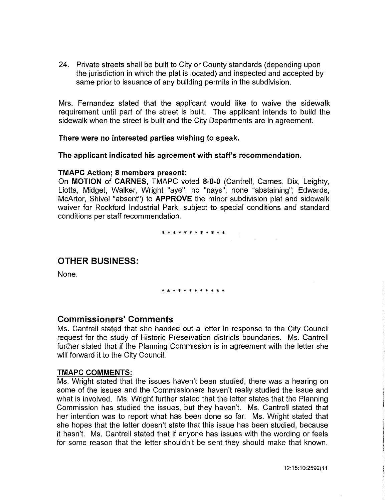24. Private streets shall be built to City or County standards (depending upon the jurisdiction in which the plat is located) and inspected and accepted by same prior to issuance of any building permits in the subdivision.

Mrs. Fernandez stated that the applicant would like to waive the sidewalk requirement until part of the street is built. The applicant intends to build the sidewalk when the street is built and the City Departments are in agreement.

#### **There were no interested parties wishing to speak.**

**The applicant indicated his agreement with staff's recommendation.** 

#### **TMAPC Action; 8 members present:**

On **MOTION of CARNES,** TMAPC voted **8-0-0** (Cantrell, Carnes, Dix, Leighty, Liotta, Midget, Walker, Wright "aye"; no "nays"; none "abstaining"; Edwards, McArtor, Shivel "absent") to **APPROVE** the minor subdivision plat and sidewalk waiver for Rockford Industrial Park, subject to special conditions and standard conditions per staff recommendation.

## \* \* \* \* \* \* \* \* \* \* \* \*

## **OTHER BUSINESS:**

None.

#### \* \* \* \* \* \* \* \* \* \* \* \*

## **Commissioners' Comments**

Ms. Cantrell stated that she handed out a letter in response to the City Council request for the study of Historic Preservation districts boundaries. Ms. Cantrell further stated that if the Planning Commission is in agreement with the letter she will forward it to the City Council.

#### **TMAPC COMMENTS:**

Ms. Wright stated that the issues haven't been studied, there was a hearing on some of the issues and the Commissioners haven't really studied the issue and what is involved. Ms. Wright further stated that the letter states that the Planning Commission has studied the issues, but they haven't. Ms. Cantrell stated that her intention was to report what has been done so far. Ms. Wright stated that she hopes that the letter doesn't state that this issue has been studied, because it hasn't. Ms. Cantrell stated that if anyone has issues with the wording or feels for some reason that the letter shouldn't be sent they should make that known.